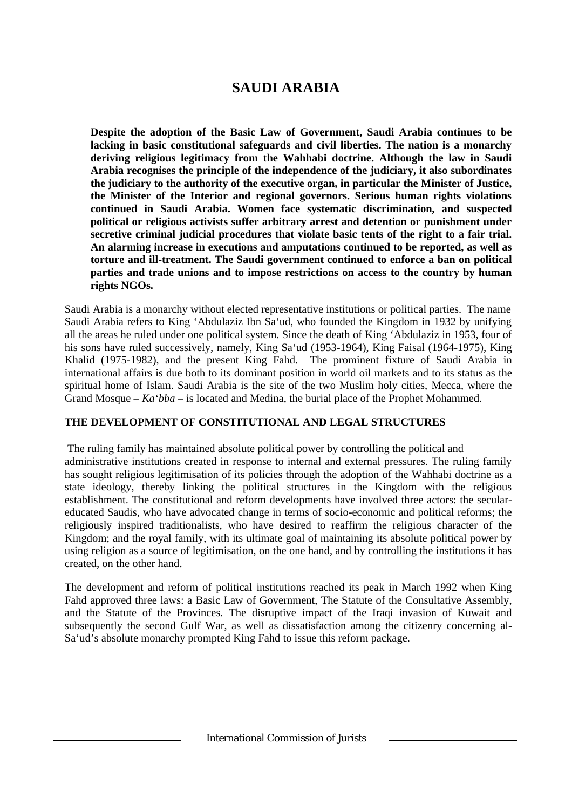# **SAUDI ARABIA**

**Despite the adoption of the Basic Law of Government, Saudi Arabia continues to be lacking in basic constitutional safeguards and civil liberties. The nation is a monarchy deriving religious legitimacy from the Wahhabi doctrine. Although the law in Saudi Arabia recognises the principle of the independence of the judiciary, it also subordinates the judiciary to the authority of the executive organ, in particular the Minister of Justice, the Minister of the Interior and regional governors. Serious human rights violations continued in Saudi Arabia. Women face systematic discrimination, and suspected political or religious activists suffer arbitrary arrest and detention or punishment under secretive criminal judicial procedures that violate basic tents of the right to a fair trial. An alarming increase in executions and amputations continued to be reported, as well as torture and ill-treatment. The Saudi government continued to enforce a ban on political parties and trade unions and to impose restrictions on access to the country by human rights NGOs.**

Saudi Arabia is a monarchy without elected representative institutions or political parties. The name Saudi Arabia refers to King 'Abdulaziz Ibn Sa'ud, who founded the Kingdom in 1932 by unifying all the areas he ruled under one political system. Since the death of King 'Abdulaziz in 1953, four of his sons have ruled successively, namely, King Sa'ud (1953-1964), King Faisal (1964-1975), King Khalid (1975-1982), and the present King Fahd. The prominent fixture of Saudi Arabia in international affairs is due both to its dominant position in world oil markets and to its status as the spiritual home of Islam. Saudi Arabia is the site of the two Muslim holy cities, Mecca, where the Grand Mosque – *Ka'bba* – is located and Medina, the burial place of the Prophet Mohammed.

### **THE DEVELOPMENT OF CONSTITUTIONAL AND LEGAL STRUCTURES**

 The ruling family has maintained absolute political power by controlling the political and administrative institutions created in response to internal and external pressures. The ruling family has sought religious legitimisation of its policies through the adoption of the Wahhabi doctrine as a state ideology, thereby linking the political structures in the Kingdom with the religious establishment. The constitutional and reform developments have involved three actors: the seculareducated Saudis, who have advocated change in terms of socio-economic and political reforms; the religiously inspired traditionalists, who have desired to reaffirm the religious character of the Kingdom; and the royal family, with its ultimate goal of maintaining its absolute political power by using religion as a source of legitimisation, on the one hand, and by controlling the institutions it has created, on the other hand.

The development and reform of political institutions reached its peak in March 1992 when King Fahd approved three laws: a Basic Law of Government, The Statute of the Consultative Assembly, and the Statute of the Provinces. The disruptive impact of the Iraqi invasion of Kuwait and subsequently the second Gulf War, as well as dissatisfaction among the citizenry concerning al-Sa'ud's absolute monarchy prompted King Fahd to issue this reform package.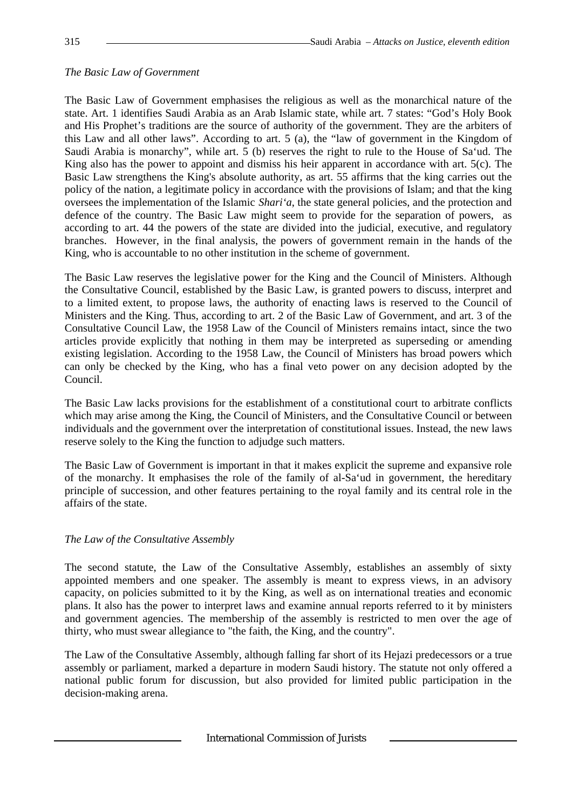## *The Basic Law of Government*

The Basic Law of Government emphasises the religious as well as the monarchical nature of the state. Art. 1 identifies Saudi Arabia as an Arab Islamic state, while art. 7 states: "God's Holy Book and His Prophet's traditions are the source of authority of the government. They are the arbiters of this Law and all other laws". According to art. 5 (a), the "law of government in the Kingdom of Saudi Arabia is monarchy", while art. 5 (b) reserves the right to rule to the House of Sa'ud. The King also has the power to appoint and dismiss his heir apparent in accordance with art. 5(c). The Basic Law strengthens the King's absolute authority, as art. 55 affirms that the king carries out the policy of the nation, a legitimate policy in accordance with the provisions of Islam; and that the king oversees the implementation of the Islamic *Shari'a*, the state general policies, and the protection and defence of the country. The Basic Law might seem to provide for the separation of powers, as according to art. 44 the powers of the state are divided into the judicial, executive, and regulatory branches. However, in the final analysis, the powers of government remain in the hands of the King, who is accountable to no other institution in the scheme of government.

The Basic Law reserves the legislative power for the King and the Council of Ministers. Although the Consultative Council, established by the Basic Law, is granted powers to discuss, interpret and to a limited extent, to propose laws, the authority of enacting laws is reserved to the Council of Ministers and the King. Thus, according to art. 2 of the Basic Law of Government, and art. 3 of the Consultative Council Law, the 1958 Law of the Council of Ministers remains intact, since the two articles provide explicitly that nothing in them may be interpreted as superseding or amending existing legislation. According to the 1958 Law, the Council of Ministers has broad powers which can only be checked by the King, who has a final veto power on any decision adopted by the Council.

The Basic Law lacks provisions for the establishment of a constitutional court to arbitrate conflicts which may arise among the King, the Council of Ministers, and the Consultative Council or between individuals and the government over the interpretation of constitutional issues. Instead, the new laws reserve solely to the King the function to adjudge such matters.

The Basic Law of Government is important in that it makes explicit the supreme and expansive role of the monarchy. It emphasises the role of the family of al-Sa'ud in government, the hereditary principle of succession, and other features pertaining to the royal family and its central role in the affairs of the state.

### *The Law of the Consultative Assembly*

The second statute, the Law of the Consultative Assembly, establishes an assembly of sixty appointed members and one speaker. The assembly is meant to express views, in an advisory capacity, on policies submitted to it by the King, as well as on international treaties and economic plans. It also has the power to interpret laws and examine annual reports referred to it by ministers and government agencies. The membership of the assembly is restricted to men over the age of thirty, who must swear allegiance to "the faith, the King, and the country".

The Law of the Consultative Assembly, although falling far short of its Hejazi predecessors or a true assembly or parliament, marked a departure in modern Saudi history. The statute not only offered a national public forum for discussion, but also provided for limited public participation in the decision-making arena.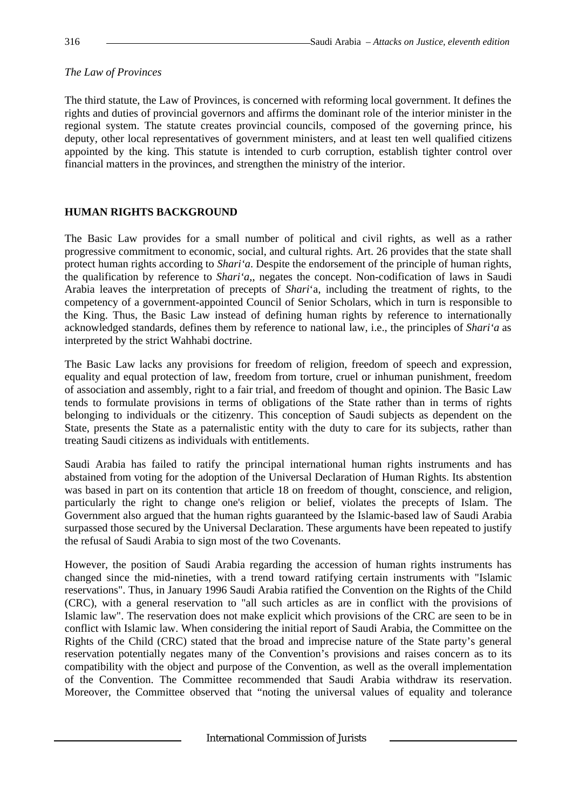## *The Law of Provinces*

The third statute, the Law of Provinces, is concerned with reforming local government. It defines the rights and duties of provincial governors and affirms the dominant role of the interior minister in the regional system. The statute creates provincial councils, composed of the governing prince, his deputy, other local representatives of government ministers, and at least ten well qualified citizens appointed by the king. This statute is intended to curb corruption, establish tighter control over financial matters in the provinces, and strengthen the ministry of the interior.

# **HUMAN RIGHTS BACKGROUND**

The Basic Law provides for a small number of political and civil rights, as well as a rather progressive commitment to economic, social, and cultural rights. Art. 26 provides that the state shall protect human rights according to *Shari'a*. Despite the endorsement of the principle of human rights, the qualification by reference to *Shari'a*,, negates the concept. Non-codification of laws in Saudi Arabia leaves the interpretation of precepts of *Shari*'a, including the treatment of rights, to the competency of a government-appointed Council of Senior Scholars, which in turn is responsible to the King. Thus, the Basic Law instead of defining human rights by reference to internationally acknowledged standards, defines them by reference to national law, i.e., the principles of *Shari'a* as interpreted by the strict Wahhabi doctrine.

The Basic Law lacks any provisions for freedom of religion, freedom of speech and expression, equality and equal protection of law, freedom from torture, cruel or inhuman punishment, freedom of association and assembly, right to a fair trial, and freedom of thought and opinion. The Basic Law tends to formulate provisions in terms of obligations of the State rather than in terms of rights belonging to individuals or the citizenry. This conception of Saudi subjects as dependent on the State, presents the State as a paternalistic entity with the duty to care for its subjects, rather than treating Saudi citizens as individuals with entitlements.

Saudi Arabia has failed to ratify the principal international human rights instruments and has abstained from voting for the adoption of the Universal Declaration of Human Rights. Its abstention was based in part on its contention that article 18 on freedom of thought, conscience, and religion, particularly the right to change one's religion or belief, violates the precepts of Islam. The Government also argued that the human rights guaranteed by the Islamic-based law of Saudi Arabia surpassed those secured by the Universal Declaration. These arguments have been repeated to justify the refusal of Saudi Arabia to sign most of the two Covenants.

However, the position of Saudi Arabia regarding the accession of human rights instruments has changed since the mid-nineties, with a trend toward ratifying certain instruments with "Islamic reservations". Thus, in January 1996 Saudi Arabia ratified the Convention on the Rights of the Child (CRC), with a general reservation to "all such articles as are in conflict with the provisions of Islamic law". The reservation does not make explicit which provisions of the CRC are seen to be in conflict with Islamic law. When considering the initial report of Saudi Arabia, the Committee on the Rights of the Child (CRC) stated that the broad and imprecise nature of the State party's general reservation potentially negates many of the Convention's provisions and raises concern as to its compatibility with the object and purpose of the Convention, as well as the overall implementation of the Convention. The Committee recommended that Saudi Arabia withdraw its reservation. Moreover, the Committee observed that "noting the universal values of equality and tolerance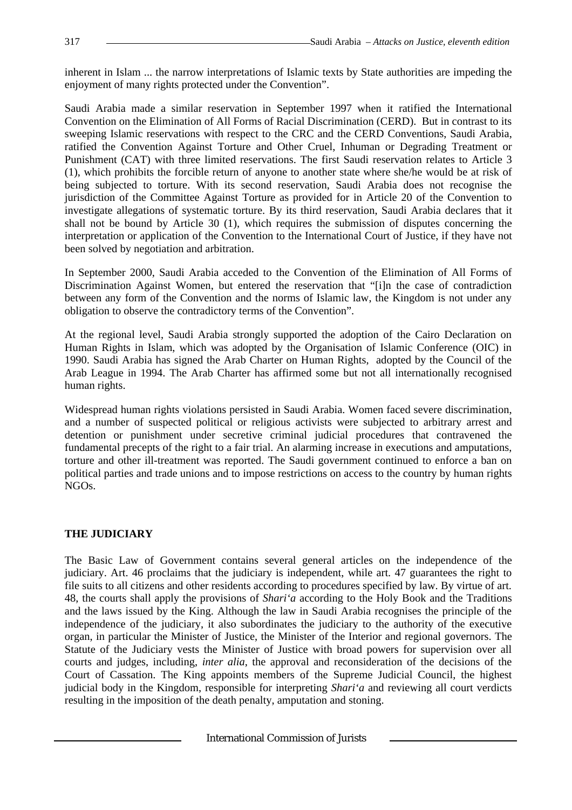inherent in Islam ... the narrow interpretations of Islamic texts by State authorities are impeding the enjoyment of many rights protected under the Convention".

Saudi Arabia made a similar reservation in September 1997 when it ratified the International Convention on the Elimination of All Forms of Racial Discrimination (CERD). But in contrast to its sweeping Islamic reservations with respect to the CRC and the CERD Conventions, Saudi Arabia, ratified the Convention Against Torture and Other Cruel, Inhuman or Degrading Treatment or Punishment (CAT) with three limited reservations. The first Saudi reservation relates to Article 3 (1), which prohibits the forcible return of anyone to another state where she/he would be at risk of being subjected to torture. With its second reservation, Saudi Arabia does not recognise the jurisdiction of the Committee Against Torture as provided for in Article 20 of the Convention to investigate allegations of systematic torture. By its third reservation, Saudi Arabia declares that it shall not be bound by Article 30 (1), which requires the submission of disputes concerning the interpretation or application of the Convention to the International Court of Justice, if they have not been solved by negotiation and arbitration.

In September 2000, Saudi Arabia acceded to the Convention of the Elimination of All Forms of Discrimination Against Women, but entered the reservation that "[i]n the case of contradiction between any form of the Convention and the norms of Islamic law, the Kingdom is not under any obligation to observe the contradictory terms of the Convention".

At the regional level, Saudi Arabia strongly supported the adoption of the Cairo Declaration on Human Rights in Islam, which was adopted by the Organisation of Islamic Conference (OIC) in 1990. Saudi Arabia has signed the Arab Charter on Human Rights, adopted by the Council of the Arab League in 1994. The Arab Charter has affirmed some but not all internationally recognised human rights.

Widespread human rights violations persisted in Saudi Arabia. Women faced severe discrimination, and a number of suspected political or religious activists were subjected to arbitrary arrest and detention or punishment under secretive criminal judicial procedures that contravened the fundamental precepts of the right to a fair trial. An alarming increase in executions and amputations, torture and other ill-treatment was reported. The Saudi government continued to enforce a ban on political parties and trade unions and to impose restrictions on access to the country by human rights NGOs.

### **THE JUDICIARY**

The Basic Law of Government contains several general articles on the independence of the judiciary. Art. 46 proclaims that the judiciary is independent, while art. 47 guarantees the right to file suits to all citizens and other residents according to procedures specified by law. By virtue of art. 48, the courts shall apply the provisions of *Shari'a* according to the Holy Book and the Traditions and the laws issued by the King. Although the law in Saudi Arabia recognises the principle of the independence of the judiciary, it also subordinates the judiciary to the authority of the executive organ, in particular the Minister of Justice, the Minister of the Interior and regional governors. The Statute of the Judiciary vests the Minister of Justice with broad powers for supervision over all courts and judges, including, *inter alia*, the approval and reconsideration of the decisions of the Court of Cassation. The King appoints members of the Supreme Judicial Council, the highest judicial body in the Kingdom, responsible for interpreting *Shari'a* and reviewing all court verdicts resulting in the imposition of the death penalty, amputation and stoning.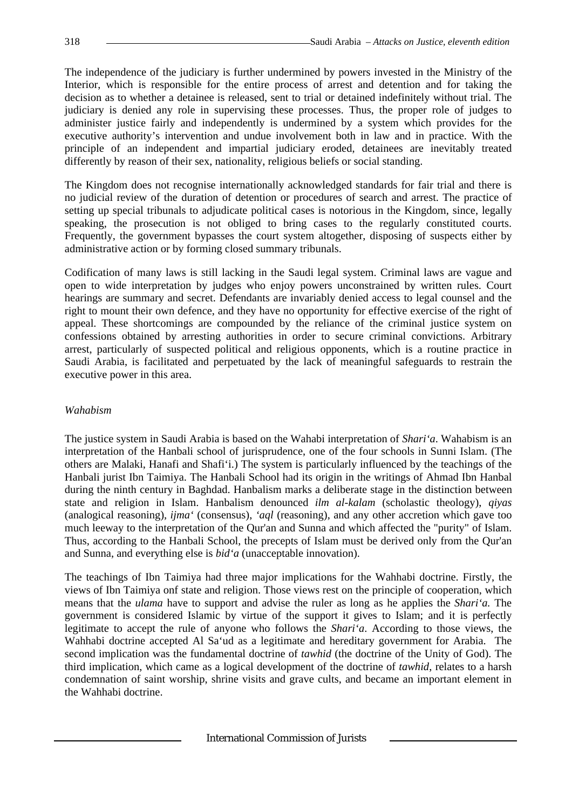The independence of the judiciary is further undermined by powers invested in the Ministry of the Interior, which is responsible for the entire process of arrest and detention and for taking the decision as to whether a detainee is released, sent to trial or detained indefinitely without trial. The judiciary is denied any role in supervising these processes. Thus, the proper role of judges to administer justice fairly and independently is undermined by a system which provides for the executive authority's intervention and undue involvement both in law and in practice. With the principle of an independent and impartial judiciary eroded, detainees are inevitably treated differently by reason of their sex, nationality, religious beliefs or social standing.

The Kingdom does not recognise internationally acknowledged standards for fair trial and there is no judicial review of the duration of detention or procedures of search and arrest. The practice of setting up special tribunals to adjudicate political cases is notorious in the Kingdom, since, legally speaking, the prosecution is not obliged to bring cases to the regularly constituted courts. Frequently, the government bypasses the court system altogether, disposing of suspects either by administrative action or by forming closed summary tribunals.

Codification of many laws is still lacking in the Saudi legal system. Criminal laws are vague and open to wide interpretation by judges who enjoy powers unconstrained by written rules. Court hearings are summary and secret. Defendants are invariably denied access to legal counsel and the right to mount their own defence, and they have no opportunity for effective exercise of the right of appeal. These shortcomings are compounded by the reliance of the criminal justice system on confessions obtained by arresting authorities in order to secure criminal convictions. Arbitrary arrest, particularly of suspected political and religious opponents, which is a routine practice in Saudi Arabia, is facilitated and perpetuated by the lack of meaningful safeguards to restrain the executive power in this area.

### *Wahabism*

The justice system in Saudi Arabia is based on the Wahabi interpretation of *Shari'a*. Wahabism is an interpretation of the Hanbali school of jurisprudence, one of the four schools in Sunni Islam. (The others are Malaki, Hanafi and Shafi'i.) The system is particularly influenced by the teachings of the Hanbali jurist Ibn Taimiya. The Hanbali School had its origin in the writings of Ahmad Ibn Hanbal during the ninth century in Baghdad. Hanbalism marks a deliberate stage in the distinction between state and religion in Islam. Hanbalism denounced *ilm al-kalam* (scholastic theology), *qiyas* (analogical reasoning), *ijma'* (consensus), *'aql* (reasoning), and any other accretion which gave too much leeway to the interpretation of the Qur'an and Sunna and which affected the "purity" of Islam. Thus, according to the Hanbali School, the precepts of Islam must be derived only from the Qur'an and Sunna, and everything else is *bid'a* (unacceptable innovation).

The teachings of Ibn Taimiya had three major implications for the Wahhabi doctrine. Firstly, the views of Ibn Taimiya onf state and religion. Those views rest on the principle of cooperation, which means that the *ulama* have to support and advise the ruler as long as he applies the *Shari'a.* The government is considered Islamic by virtue of the support it gives to Islam; and it is perfectly legitimate to accept the rule of anyone who follows the *Shari'a*. According to those views, the Wahhabi doctrine accepted Al Sa'ud as a legitimate and hereditary government for Arabia. The second implication was the fundamental doctrine of *tawhid* (the doctrine of the Unity of God). The third implication, which came as a logical development of the doctrine of *tawhid*, relates to a harsh condemnation of saint worship, shrine visits and grave cults, and became an important element in the Wahhabi doctrine.

International Commission of Jurists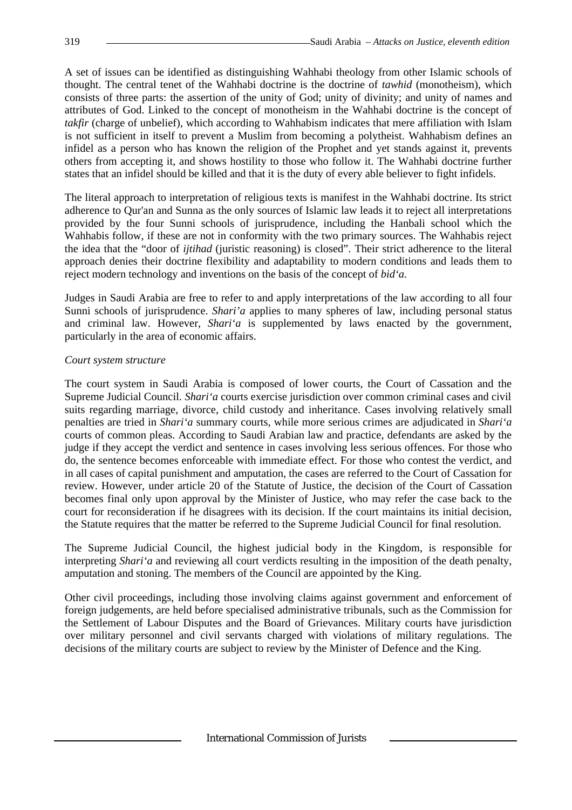A set of issues can be identified as distinguishing Wahhabi theology from other Islamic schools of thought. The central tenet of the Wahhabi doctrine is the doctrine of *tawhid* (monotheism), which consists of three parts: the assertion of the unity of God; unity of divinity; and unity of names and attributes of God. Linked to the concept of monotheism in the Wahhabi doctrine is the concept of *takfir* (charge of unbelief), which according to Wahhabism indicates that mere affiliation with Islam is not sufficient in itself to prevent a Muslim from becoming a polytheist. Wahhabism defines an infidel as a person who has known the religion of the Prophet and yet stands against it, prevents others from accepting it, and shows hostility to those who follow it. The Wahhabi doctrine further states that an infidel should be killed and that it is the duty of every able believer to fight infidels.

The literal approach to interpretation of religious texts is manifest in the Wahhabi doctrine. Its strict adherence to Qur'an and Sunna as the only sources of Islamic law leads it to reject all interpretations provided by the four Sunni schools of jurisprudence, including the Hanbali school which the Wahhabis follow, if these are not in conformity with the two primary sources. The Wahhabis reject the idea that the "door of *ijtihad* (juristic reasoning) is closed". Their strict adherence to the literal approach denies their doctrine flexibility and adaptability to modern conditions and leads them to reject modern technology and inventions on the basis of the concept of *bid'a*.

Judges in Saudi Arabia are free to refer to and apply interpretations of the law according to all four Sunni schools of jurisprudence. *Shari'a* applies to many spheres of law, including personal status and criminal law. However, *Shari'a* is supplemented by laws enacted by the government, particularly in the area of economic affairs.

#### *Court system structure*

The court system in Saudi Arabia is composed of lower courts, the Court of Cassation and the Supreme Judicial Council. *Shari'a* courts exercise jurisdiction over common criminal cases and civil suits regarding marriage, divorce, child custody and inheritance. Cases involving relatively small penalties are tried in *Shari'a* summary courts, while more serious crimes are adjudicated in *Shari'a* courts of common pleas. According to Saudi Arabian law and practice, defendants are asked by the judge if they accept the verdict and sentence in cases involving less serious offences. For those who do, the sentence becomes enforceable with immediate effect. For those who contest the verdict, and in all cases of capital punishment and amputation, the cases are referred to the Court of Cassation for review. However, under article 20 of the Statute of Justice, the decision of the Court of Cassation becomes final only upon approval by the Minister of Justice, who may refer the case back to the court for reconsideration if he disagrees with its decision. If the court maintains its initial decision, the Statute requires that the matter be referred to the Supreme Judicial Council for final resolution.

The Supreme Judicial Council, the highest judicial body in the Kingdom, is responsible for interpreting *Shari'a* and reviewing all court verdicts resulting in the imposition of the death penalty, amputation and stoning. The members of the Council are appointed by the King.

Other civil proceedings, including those involving claims against government and enforcement of foreign judgements, are held before specialised administrative tribunals, such as the Commission for the Settlement of Labour Disputes and the Board of Grievances. Military courts have jurisdiction over military personnel and civil servants charged with violations of military regulations. The decisions of the military courts are subject to review by the Minister of Defence and the King.